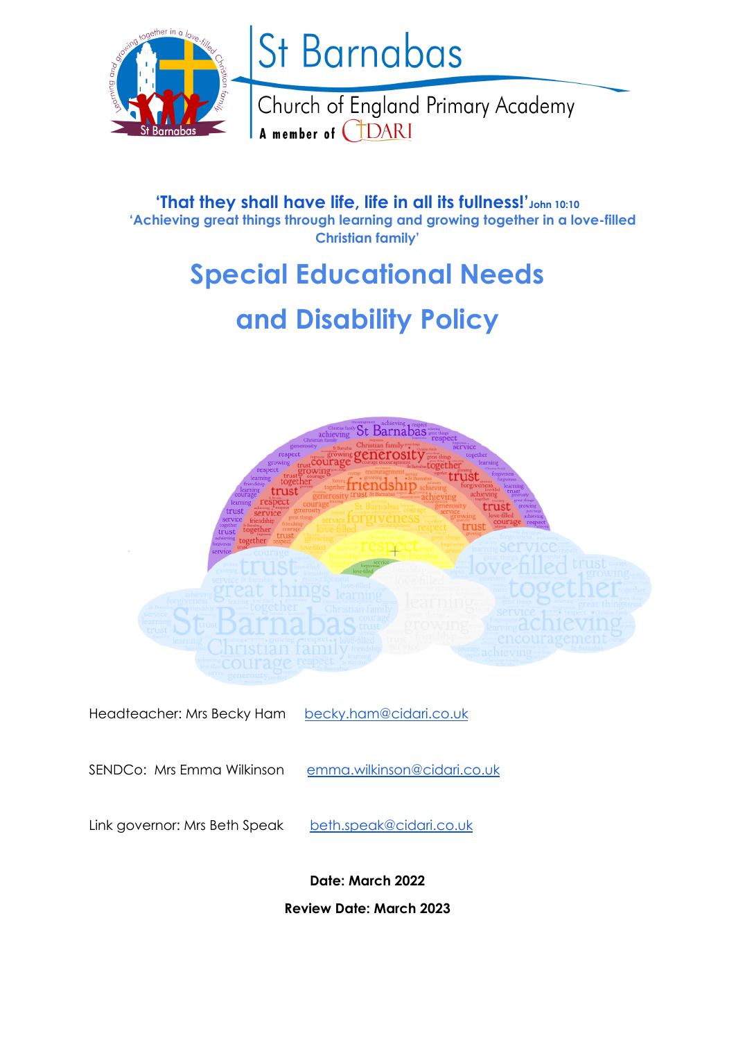

# St Barnabas

Church of England Primary Academy A member of (TDARI

**'That they shall have life, life in all its fullness!'John 10:10 'Achieving great things through learning and growing together in a love-filled Christian family'**

# **Special Educational Needs**

# **and Disability Policy**



Headteacher: Mrs Becky Ham [becky.ham@cidari.co.uk](mailto:becky.ham@cidari.co.uk)

SENDCo: Mrs Emma Wilkinson [emma.wilkinson@cidari.co.uk](mailto:stuart.beaumont@cidari.co.uk)

Link governor: Mrs Beth Speak [beth.speak@cidari.co.uk](mailto:beth.speak@cidari.co.uk)

**Date: March 2022**

**Review Date: March 2023**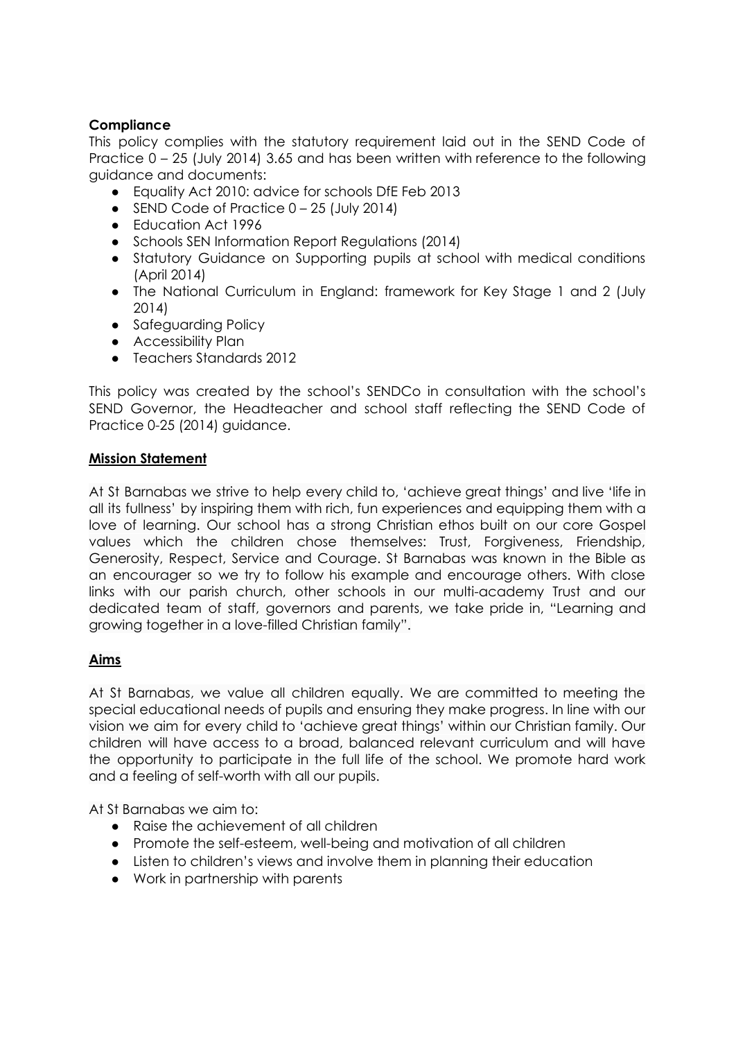# **Compliance**

This policy complies with the statutory requirement laid out in the SEND Code of Practice 0 – 25 (July 2014) 3.65 and has been written with reference to the following guidance and documents:

- Equality Act 2010: advice for schools DfE Feb 2013
- $\bullet$  SEND Code of Practice  $0 25$  (July 2014)
- Education Act 1996
- Schools SEN Information Report Regulations (2014)
- Statutory Guidance on Supporting pupils at school with medical conditions (April 2014)
- The National Curriculum in England: framework for Key Stage 1 and 2 (July 2014)
- Safeguarding Policy
- Accessibility Plan
- Teachers Standards 2012

This policy was created by the school's SENDCo in consultation with the school's SEND Governor, the Headteacher and school staff reflecting the SEND Code of Practice 0-25 (2014) guidance.

# **Mission Statement**

At St Barnabas we strive to help every child to, 'achieve great things' and live 'life in all its fullness' by inspiring them with rich, fun experiences and equipping them with a love of learning. Our school has a strong Christian ethos built on our core Gospel values which the children chose themselves: Trust, Forgiveness, Friendship, Generosity, Respect, Service and Courage. St Barnabas was known in the Bible as an encourager so we try to follow his example and encourage others. With close links with our parish church, other schools in our multi-academy Trust and our dedicated team of staff, governors and parents, we take pride in, "Learning and growing together in a love-filled Christian family".

# **Aims**

At St Barnabas, we value all children equally. We are committed to meeting the special educational needs of pupils and ensuring they make progress. In line with our vision we aim for every child to 'achieve great things' within our Christian family. Our children will have access to a broad, balanced relevant curriculum and will have the opportunity to participate in the full life of the school. We promote hard work and a feeling of self-worth with all our pupils.

At St Barnabas we aim to:

- Raise the achievement of all children
- Promote the self-esteem, well-being and motivation of all children
- Listen to children's views and involve them in planning their education
- Work in partnership with parents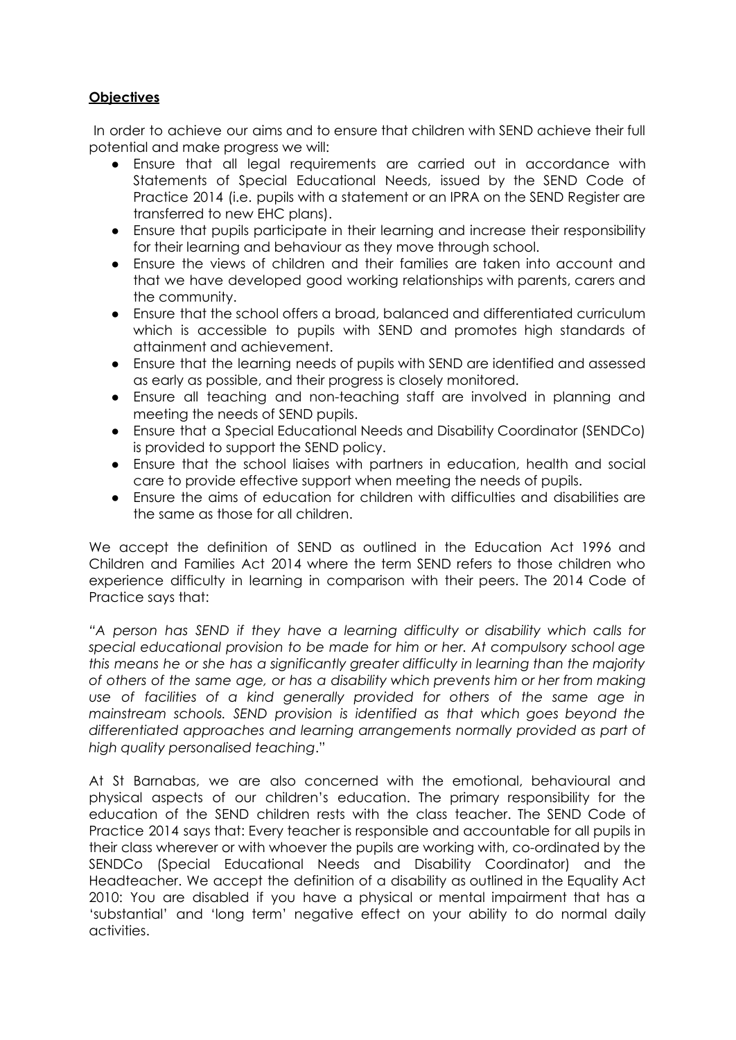# **Objectives**

In order to achieve our aims and to ensure that children with SEND achieve their full potential and make progress we will:

- Ensure that all legal requirements are carried out in accordance with Statements of Special Educational Needs, issued by the SEND Code of Practice 2014 (i.e. pupils with a statement or an IPRA on the SEND Register are transferred to new EHC plans).
- Ensure that pupils participate in their learning and increase their responsibility for their learning and behaviour as they move through school.
- Ensure the views of children and their families are taken into account and that we have developed good working relationships with parents, carers and the community.
- Ensure that the school offers a broad, balanced and differentiated curriculum which is accessible to pupils with SEND and promotes high standards of attainment and achievement.
- Ensure that the learning needs of pupils with SEND are identified and assessed as early as possible, and their progress is closely monitored.
- Ensure all teaching and non-teaching staff are involved in planning and meeting the needs of SEND pupils.
- Ensure that a Special Educational Needs and Disability Coordinator (SENDCo) is provided to support the SEND policy.
- Ensure that the school liaises with partners in education, health and social care to provide effective support when meeting the needs of pupils.
- Ensure the aims of education for children with difficulties and disabilities are the same as those for all children.

We accept the definition of SEND as outlined in the Education Act 1996 and Children and Families Act 2014 where the term SEND refers to those children who experience difficulty in learning in comparison with their peers. The 2014 Code of Practice says that:

*"A person has SEND if they have a learning difficulty or disability which calls for special educational provision to be made for him or her. At compulsory school age this means he or she has a significantly greater difficulty in learning than the majority of others of the same age, or has a disability which prevents him or her from making use of facilities of a kind generally provided for others of the same age in mainstream schools. SEND provision is identified as that which goes beyond the differentiated approaches and learning arrangements normally provided as part of high quality personalised teaching*."

At St Barnabas, we are also concerned with the emotional, behavioural and physical aspects of our children's education. The primary responsibility for the education of the SEND children rests with the class teacher. The SEND Code of Practice 2014 says that: Every teacher is responsible and accountable for all pupils in their class wherever or with whoever the pupils are working with, co-ordinated by the SENDCo (Special Educational Needs and Disability Coordinator) and the Headteacher. We accept the definition of a disability as outlined in the Equality Act 2010: You are disabled if you have a physical or mental impairment that has a 'substantial' and 'long term' negative effect on your ability to do normal daily activities.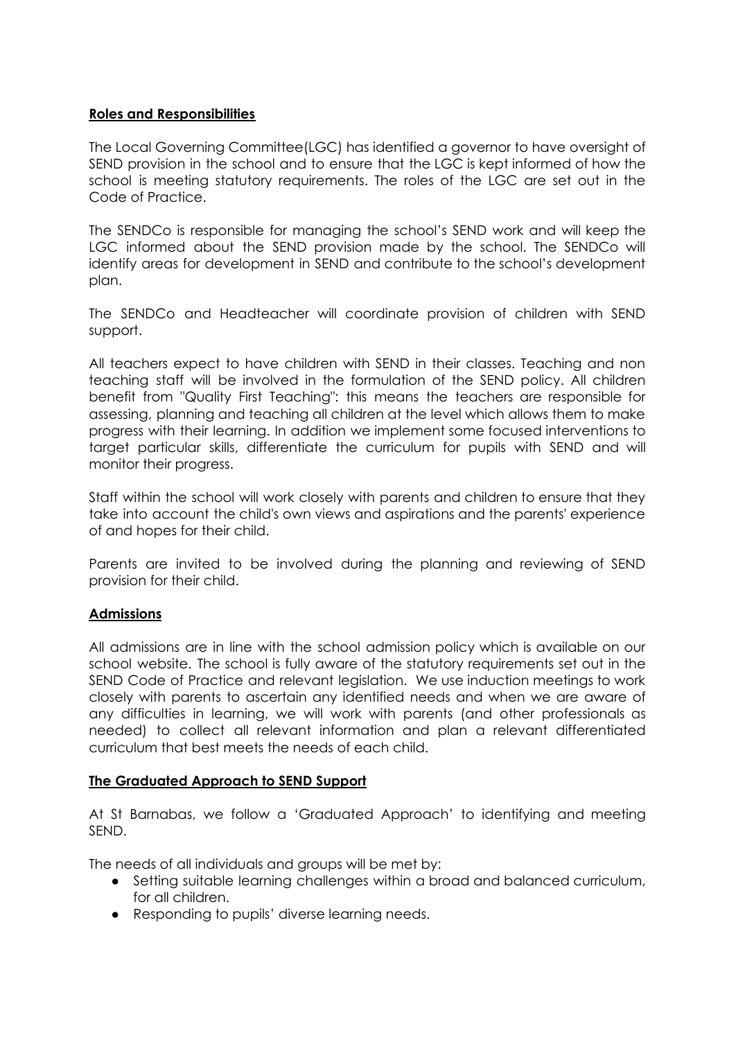#### **Roles and Responsibilities**

The Local Governing Committee(LGC) has identified a governor to have oversight of SEND provision in the school and to ensure that the LGC is kept informed of how the school is meeting statutory requirements. The roles of the LGC are set out in the Code of Practice.

The SENDCo is responsible for managing the school's SEND work and will keep the LGC informed about the SEND provision made by the school. The SENDCo will identify areas for development in SEND and contribute to the school's development plan.

The SENDCo and Headteacher will coordinate provision of children with SEND support.

All teachers expect to have children with SEND in their classes. Teaching and non teaching staff will be involved in the formulation of the SEND policy. All children benefit from "Quality First Teaching": this means the teachers are responsible for assessing, planning and teaching all children at the level which allows them to make progress with their learning. In addition we implement some focused interventions to target particular skills, differentiate the curriculum for pupils with SEND and will monitor their progress.

Staff within the school will work closely with parents and children to ensure that they take into account the child's own views and aspirations and the parents' experience of and hopes for their child.

Parents are invited to be involved during the planning and reviewing of SEND provision for their child.

# **Admissions**

All admissions are in line with the school admission policy which is available on our school website. The school is fully aware of the statutory requirements set out in the SEND Code of Practice and relevant legislation. We use induction meetings to work closely with parents to ascertain any identified needs and when we are aware of any difficulties in learning, we will work with parents (and other professionals as needed) to collect all relevant information and plan a relevant differentiated curriculum that best meets the needs of each child.

#### **The Graduated Approach to SEND Support**

At St Barnabas, we follow a 'Graduated Approach' to identifying and meeting SEND.

The needs of all individuals and groups will be met by:

- Setting suitable learning challenges within a broad and balanced curriculum, for all children.
- Responding to pupils' diverse learning needs.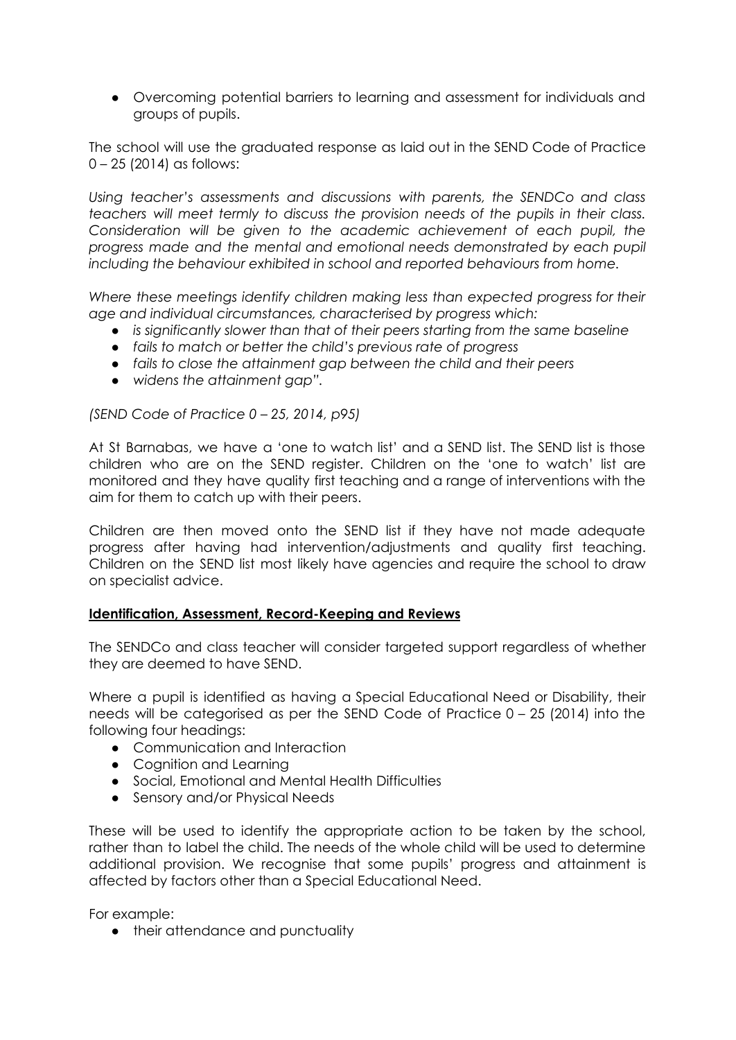● Overcoming potential barriers to learning and assessment for individuals and groups of pupils.

The school will use the graduated response as laid out in the SEND Code of Practice 0 – 25 (2014) as follows:

*Using teacher's assessments and discussions with parents, the SENDCo and class teachers will meet termly to discuss the provision needs of the pupils in their class. Consideration will be given to the academic achievement of each pupil, the progress made and the mental and emotional needs demonstrated by each pupil including the behaviour exhibited in school and reported behaviours from home.*

*Where these meetings identify children making less than expected progress for their age and individual circumstances, characterised by progress which:*

- *● is significantly slower than that of their peers starting from the same baseline*
- *● fails to match or better the child's previous rate of progress*
- *● fails to close the attainment gap between the child and their peers*
- *● widens the attainment gap".*

*(SEND Code of Practice 0 – 25, 2014, p95)*

At St Barnabas, we have a 'one to watch list' and a SEND list. The SEND list is those children who are on the SEND register. Children on the 'one to watch' list are monitored and they have quality first teaching and a range of interventions with the aim for them to catch up with their peers.

Children are then moved onto the SEND list if they have not made adequate progress after having had intervention/adjustments and quality first teaching. Children on the SEND list most likely have agencies and require the school to draw on specialist advice.

#### **Identification, Assessment, Record-Keeping and Reviews**

The SENDCo and class teacher will consider targeted support regardless of whether they are deemed to have SEND.

Where a pupil is identified as having a Special Educational Need or Disability, their needs will be categorised as per the SEND Code of Practice 0 – 25 (2014) into the following four headings:

- Communication and Interaction
- Cognition and Learning
- Social, Emotional and Mental Health Difficulties
- Sensory and/or Physical Needs

These will be used to identify the appropriate action to be taken by the school, rather than to label the child. The needs of the whole child will be used to determine additional provision. We recognise that some pupils' progress and attainment is affected by factors other than a Special Educational Need.

For example:

● their attendance and punctuality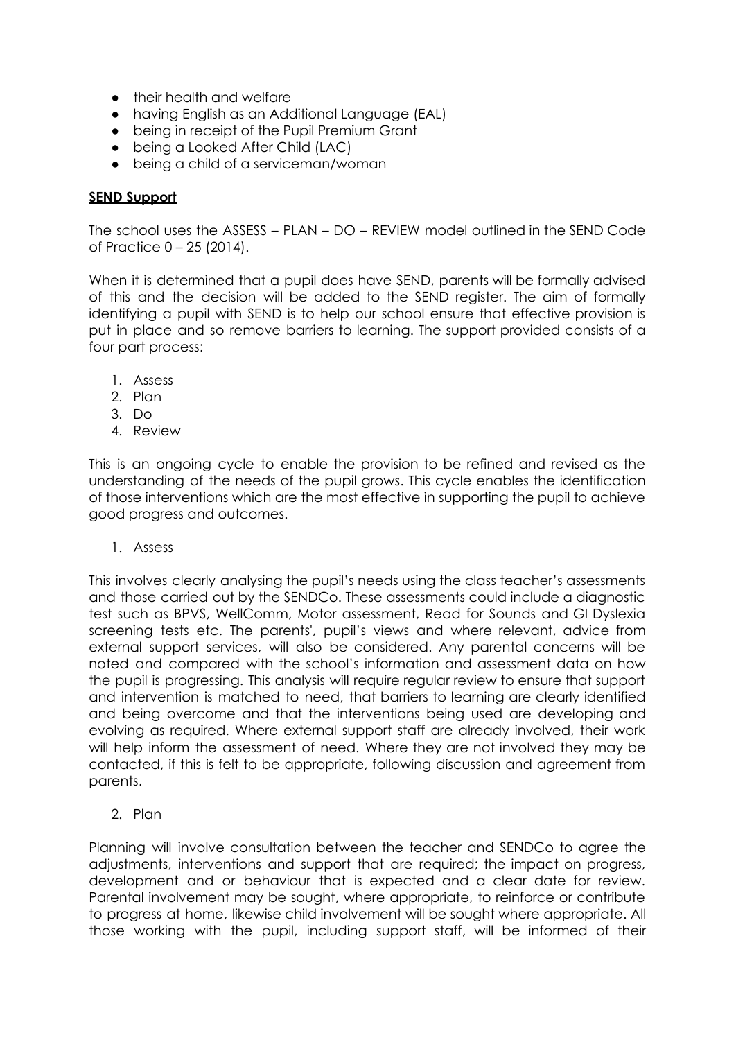- their health and welfare
- having English as an Additional Language (EAL)
- being in receipt of the Pupil Premium Grant
- being a Looked After Child (LAC)
- being a child of a serviceman/woman

#### **SEND Support**

The school uses the ASSESS – PLAN – DO – REVIEW model outlined in the SEND Code of Practice 0 – 25 (2014).

When it is determined that a pupil does have SEND, parents will be formally advised of this and the decision will be added to the SEND register. The aim of formally identifying a pupil with SEND is to help our school ensure that effective provision is put in place and so remove barriers to learning. The support provided consists of a four part process:

- 1. Assess
- 2. Plan
- 3. Do
- 4. Review

This is an ongoing cycle to enable the provision to be refined and revised as the understanding of the needs of the pupil grows. This cycle enables the identification of those interventions which are the most effective in supporting the pupil to achieve good progress and outcomes.

1. Assess

This involves clearly analysing the pupil's needs using the class teacher's assessments and those carried out by the SENDCo. These assessments could include a diagnostic test such as BPVS, WellComm, Motor assessment, Read for Sounds and GI Dyslexia screening tests etc. The parents', pupil's views and where relevant, advice from external support services, will also be considered. Any parental concerns will be noted and compared with the school's information and assessment data on how the pupil is progressing. This analysis will require regular review to ensure that support and intervention is matched to need, that barriers to learning are clearly identified and being overcome and that the interventions being used are developing and evolving as required. Where external support staff are already involved, their work will help inform the assessment of need. Where they are not involved they may be contacted, if this is felt to be appropriate, following discussion and agreement from parents.

2. Plan

Planning will involve consultation between the teacher and SENDCo to agree the adjustments, interventions and support that are required; the impact on progress, development and or behaviour that is expected and a clear date for review. Parental involvement may be sought, where appropriate, to reinforce or contribute to progress at home, likewise child involvement will be sought where appropriate. All those working with the pupil, including support staff, will be informed of their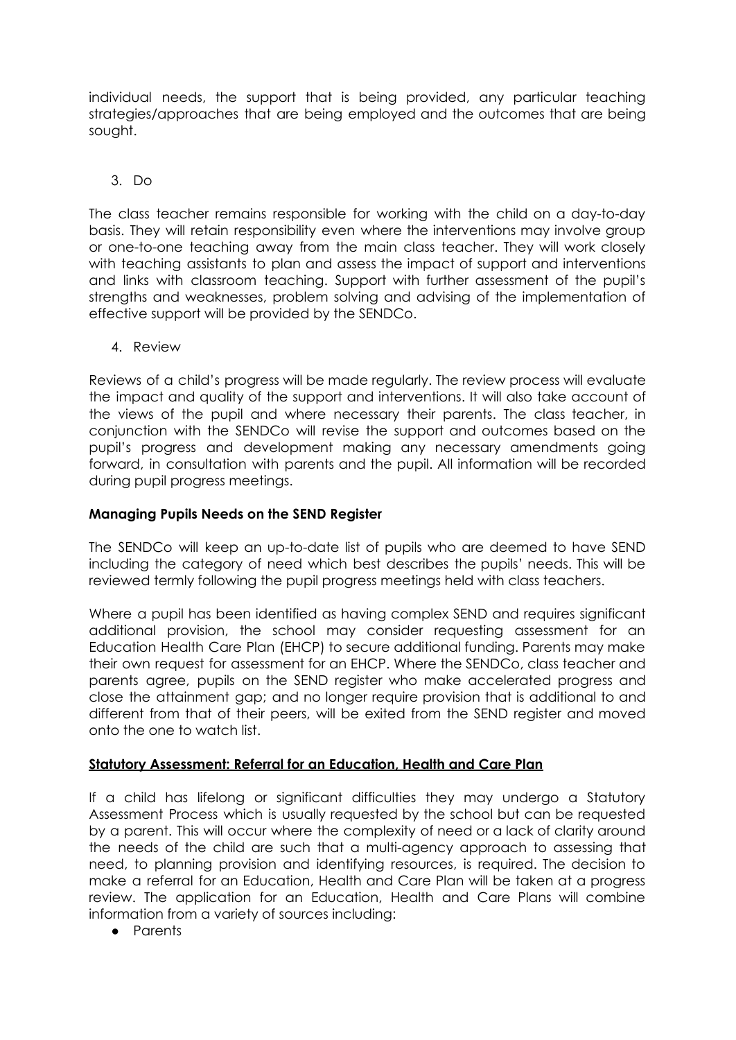individual needs, the support that is being provided, any particular teaching strategies/approaches that are being employed and the outcomes that are being sought.

# 3. Do

The class teacher remains responsible for working with the child on a day-to-day basis. They will retain responsibility even where the interventions may involve group or one-to-one teaching away from the main class teacher. They will work closely with teaching assistants to plan and assess the impact of support and interventions and links with classroom teaching. Support with further assessment of the pupil's strengths and weaknesses, problem solving and advising of the implementation of effective support will be provided by the SENDCo.

4. Review

Reviews of a child's progress will be made regularly. The review process will evaluate the impact and quality of the support and interventions. It will also take account of the views of the pupil and where necessary their parents. The class teacher, in conjunction with the SENDCo will revise the support and outcomes based on the pupil's progress and development making any necessary amendments going forward, in consultation with parents and the pupil. All information will be recorded during pupil progress meetings.

#### **Managing Pupils Needs on the SEND Register**

The SENDCo will keep an up-to-date list of pupils who are deemed to have SEND including the category of need which best describes the pupils' needs. This will be reviewed termly following the pupil progress meetings held with class teachers.

Where a pupil has been identified as having complex SEND and requires significant additional provision, the school may consider requesting assessment for an Education Health Care Plan (EHCP) to secure additional funding. Parents may make their own request for assessment for an EHCP. Where the SENDCo, class teacher and parents agree, pupils on the SEND register who make accelerated progress and close the attainment gap; and no longer require provision that is additional to and different from that of their peers, will be exited from the SEND register and moved onto the one to watch list.

# **Statutory Assessment: Referral for an Education, Health and Care Plan**

If a child has lifelong or significant difficulties they may undergo a Statutory Assessment Process which is usually requested by the school but can be requested by a parent. This will occur where the complexity of need or a lack of clarity around the needs of the child are such that a multi-agency approach to assessing that need, to planning provision and identifying resources, is required. The decision to make a referral for an Education, Health and Care Plan will be taken at a progress review. The application for an Education, Health and Care Plans will combine information from a variety of sources including:

● Parents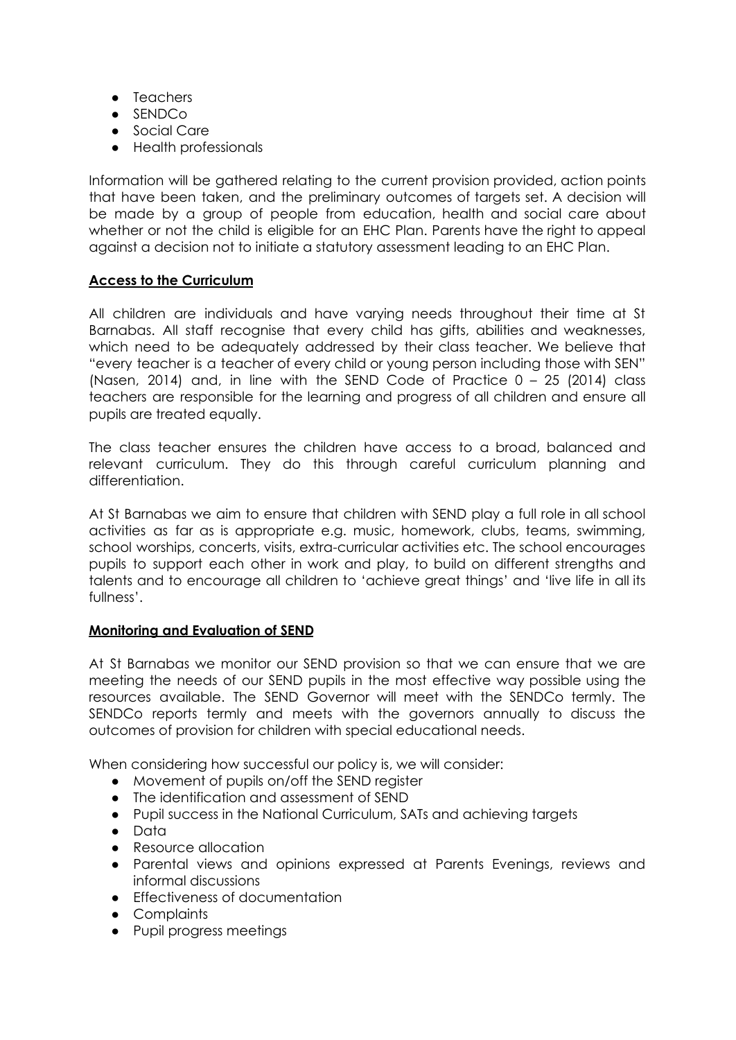- Teachers
- SENDCo
- Social Care
- Health professionals

Information will be gathered relating to the current provision provided, action points that have been taken, and the preliminary outcomes of targets set. A decision will be made by a group of people from education, health and social care about whether or not the child is eligible for an EHC Plan. Parents have the right to appeal against a decision not to initiate a statutory assessment leading to an EHC Plan.

# **Access to the Curriculum**

All children are individuals and have varying needs throughout their time at St Barnabas. All staff recognise that every child has gifts, abilities and weaknesses, which need to be adequately addressed by their class teacher. We believe that "every teacher is a teacher of every child or young person including those with SEN" (Nasen, 2014) and, in line with the SEND Code of Practice 0 – 25 (2014) class teachers are responsible for the learning and progress of all children and ensure all pupils are treated equally.

The class teacher ensures the children have access to a broad, balanced and relevant curriculum. They do this through careful curriculum planning and differentiation.

At St Barnabas we aim to ensure that children with SEND play a full role in all school activities as far as is appropriate e.g. music, homework, clubs, teams, swimming, school worships, concerts, visits, extra-curricular activities etc. The school encourages pupils to support each other in work and play, to build on different strengths and talents and to encourage all children to 'achieve great things' and 'live life in all its fullness'.

#### **Monitoring and Evaluation of SEND**

At St Barnabas we monitor our SEND provision so that we can ensure that we are meeting the needs of our SEND pupils in the most effective way possible using the resources available. The SEND Governor will meet with the SENDCo termly. The SENDCo reports termly and meets with the governors annually to discuss the outcomes of provision for children with special educational needs.

When considering how successful our policy is, we will consider:

- Movement of pupils on/off the SEND register
- The identification and assessment of SEND
- Pupil success in the National Curriculum, SATs and achieving targets
- Data
- Resource allocation
- Parental views and opinions expressed at Parents Evenings, reviews and informal discussions
- Effectiveness of documentation
- Complaints
- Pupil progress meetings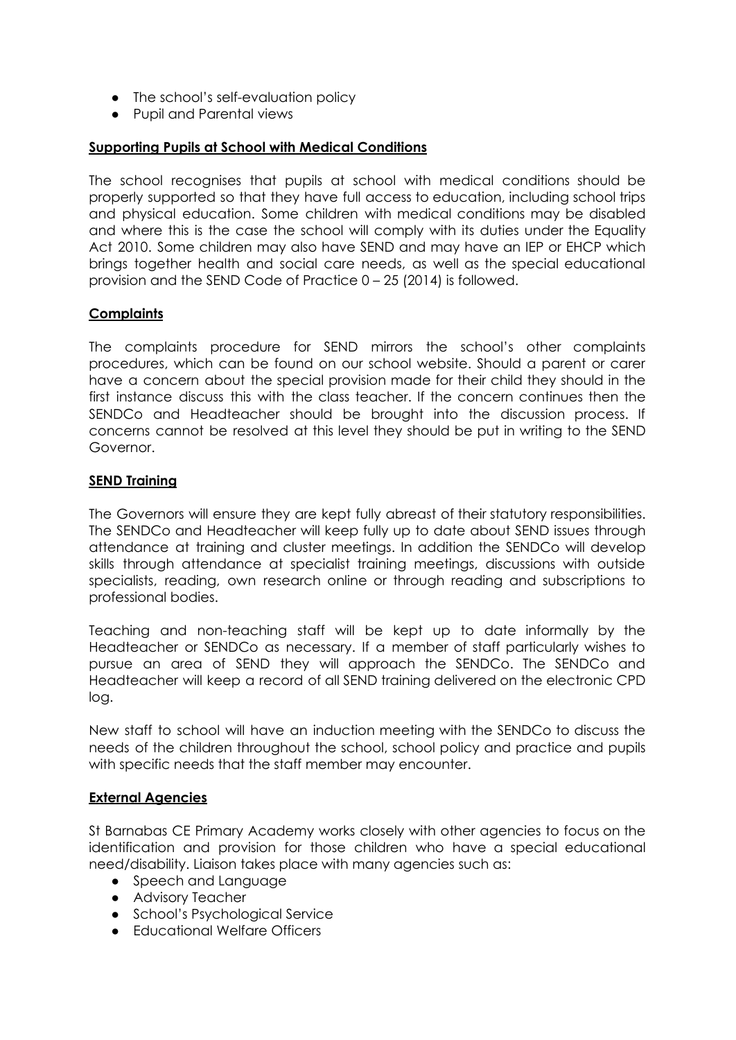- The school's self-evaluation policy
- Pupil and Parental views

# **Supporting Pupils at School with Medical Conditions**

The school recognises that pupils at school with medical conditions should be properly supported so that they have full access to education, including school trips and physical education. Some children with medical conditions may be disabled and where this is the case the school will comply with its duties under the Equality Act 2010. Some children may also have SEND and may have an IEP or EHCP which brings together health and social care needs, as well as the special educational provision and the SEND Code of Practice 0 – 25 (2014) is followed.

#### **Complaints**

The complaints procedure for SEND mirrors the school's other complaints procedures, which can be found on our school website. Should a parent or carer have a concern about the special provision made for their child they should in the first instance discuss this with the class teacher. If the concern continues then the SENDCo and Headteacher should be brought into the discussion process. If concerns cannot be resolved at this level they should be put in writing to the SEND Governor.

#### **SEND Training**

The Governors will ensure they are kept fully abreast of their statutory responsibilities. The SENDCo and Headteacher will keep fully up to date about SEND issues through attendance at training and cluster meetings. In addition the SENDCo will develop skills through attendance at specialist training meetings, discussions with outside specialists, reading, own research online or through reading and subscriptions to professional bodies.

Teaching and non-teaching staff will be kept up to date informally by the Headteacher or SENDCo as necessary. If a member of staff particularly wishes to pursue an area of SEND they will approach the SENDCo. The SENDCo and Headteacher will keep a record of all SEND training delivered on the electronic CPD log.

New staff to school will have an induction meeting with the SENDCo to discuss the needs of the children throughout the school, school policy and practice and pupils with specific needs that the staff member may encounter.

#### **External Agencies**

St Barnabas CE Primary Academy works closely with other agencies to focus on the identification and provision for those children who have a special educational need/disability. Liaison takes place with many agencies such as:

- Speech and Language
- Advisory Teacher
- School's Psychological Service
- Educational Welfare Officers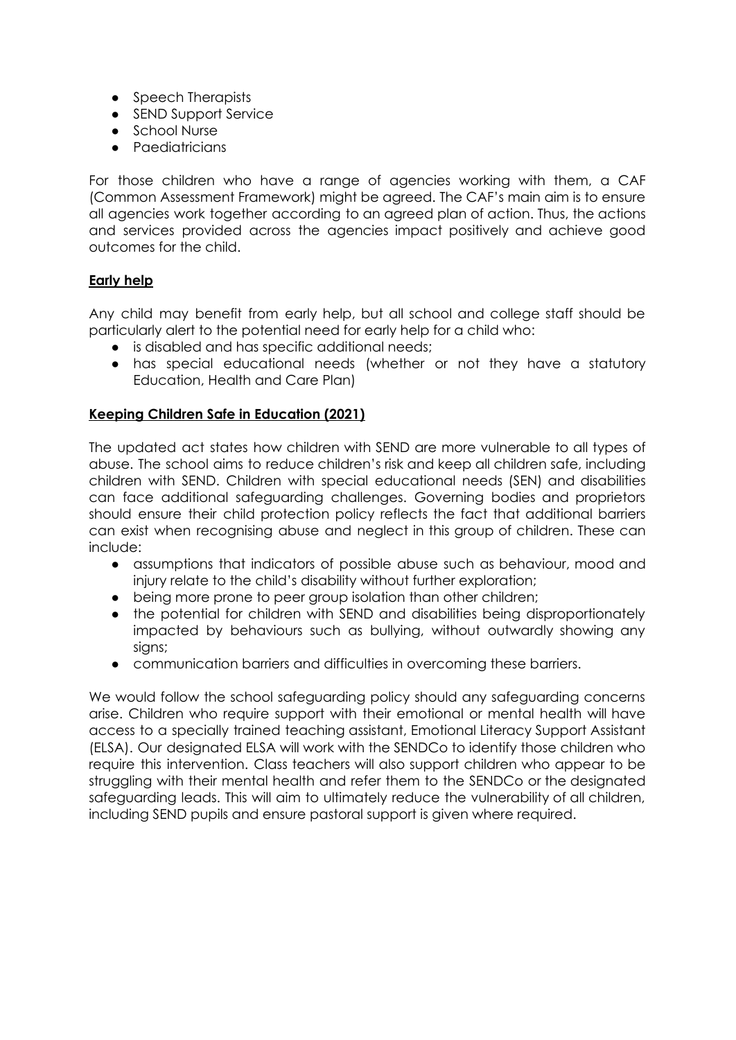- Speech Therapists
- SEND Support Service
- School Nurse
- Paediatricians

For those children who have a range of agencies working with them, a CAF (Common Assessment Framework) might be agreed. The CAF's main aim is to ensure all agencies work together according to an agreed plan of action. Thus, the actions and services provided across the agencies impact positively and achieve good outcomes for the child.

#### **Early help**

Any child may benefit from early help, but all school and college staff should be particularly alert to the potential need for early help for a child who:

- is disabled and has specific additional needs;
- has special educational needs (whether or not they have a statutory Education, Health and Care Plan)

#### **Keeping Children Safe in Education (2021)**

The updated act states how children with SEND are more vulnerable to all types of abuse. The school aims to reduce children's risk and keep all children safe, including children with SEND. Children with special educational needs (SEN) and disabilities can face additional safeguarding challenges. Governing bodies and proprietors should ensure their child protection policy reflects the fact that additional barriers can exist when recognising abuse and neglect in this group of children. These can include:

- assumptions that indicators of possible abuse such as behaviour, mood and injury relate to the child's disability without further exploration;
- being more prone to peer group isolation than other children;
- the potential for children with SEND and disabilities being disproportionately impacted by behaviours such as bullying, without outwardly showing any signs;
- communication barriers and difficulties in overcoming these barriers.

We would follow the school safeguarding policy should any safeguarding concerns arise. Children who require support with their emotional or mental health will have access to a specially trained teaching assistant, Emotional Literacy Support Assistant (ELSA). Our designated ELSA will work with the SENDCo to identify those children who require this intervention. Class teachers will also support children who appear to be struggling with their mental health and refer them to the SENDCo or the designated safeguarding leads. This will aim to ultimately reduce the vulnerability of all children, including SEND pupils and ensure pastoral support is given where required.